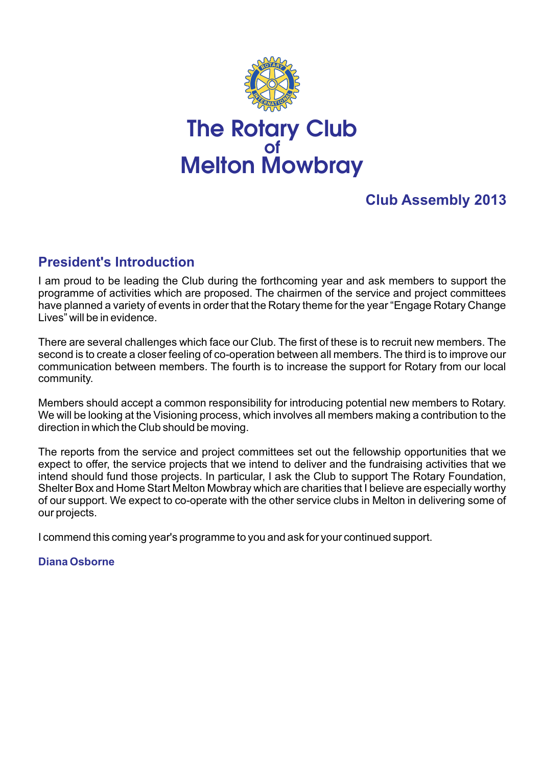

# The Rotary Club of Melton Mowbray

## **Club Assembly 2013**

## **President's Introduction**

I am proud to be leading the Club during the forthcoming year and ask members to support the programme of activities which are proposed. The chairmen of the service and project committees have planned a variety of events in order that the Rotary theme for the year "Engage Rotary Change Lives" will be in evidence.

There are several challenges which face our Club. The first of these is to recruit new members. The second is to create a closer feeling of co-operation between all members. The third is to improve our communication between members. The fourth is to increase the support for Rotary from our local community.

Members should accept a common responsibility for introducing potential new members to Rotary. We will be looking at the Visioning process, which involves all members making a contribution to the direction in which the Club should be moving.

The reports from the service and project committees set out the fellowship opportunities that we expect to offer, the service projects that we intend to deliver and the fundraising activities that we intend should fund those projects. In particular, I ask the Club to support The Rotary Foundation, Shelter Box and Home Start Melton Mowbray which are charities that I believe are especially worthy of our support. We expect to co-operate with the other service clubs in Melton in delivering some of our projects.

I commend this coming year's programme to you and ask for your continued support.

#### **Diana Osborne**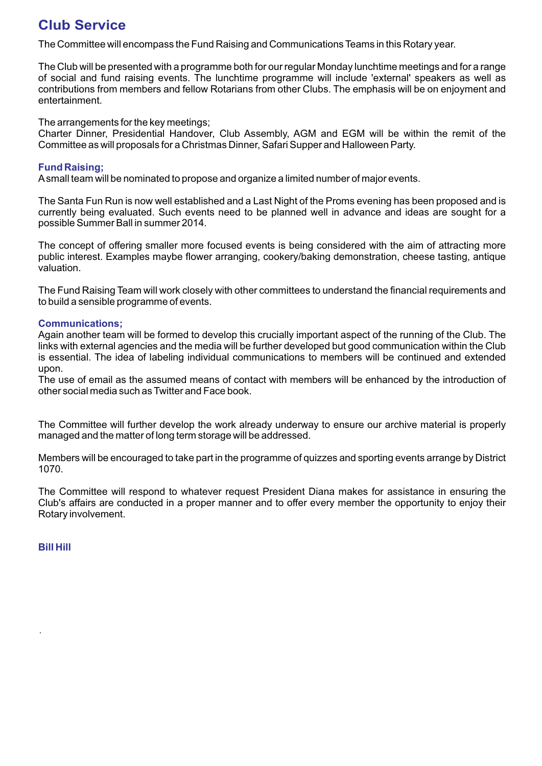## **Club Service**

The Committee will encompass the Fund Raising and Communications Teams in this Rotary year.

The Club will be presented with a programme both for our regular Monday lunchtime meetings and for a range of social and fund raising events. The lunchtime programme will include 'external' speakers as well as contributions from members and fellow Rotarians from other Clubs. The emphasis will be on enjoyment and entertainment.

The arrangements for the key meetings;

Charter Dinner, Presidential Handover, Club Assembly, AGM and EGM will be within the remit of the Committee as will proposals for a Christmas Dinner, Safari Supper and Halloween Party.

#### **Fund Raising;**

Asmall team will be nominated to propose and organize a limited number of major events.

The Santa Fun Run is now well established and a Last Night of the Proms evening has been proposed and is currently being evaluated. Such events need to be planned well in advance and ideas are sought for a possible Summer Ball in summer 2014.

The concept of offering smaller more focused events is being considered with the aim of attracting more public interest. Examples maybe flower arranging, cookery/baking demonstration, cheese tasting, antique valuation.

The Fund Raising Team will work closely with other committees to understand the financial requirements and to build a sensible programme of events.

#### **Communications;**

Again another team will be formed to develop this crucially important aspect of the running of the Club. The links with external agencies and the media will be further developed but good communication within the Club is essential. The idea of labeling individual communications to members will be continued and extended upon.

The use of email as the assumed means of contact with members will be enhanced by the introduction of other social media such as Twitter and Face book.

The Committee will further develop the work already underway to ensure our archive material is properly managed and the matter of long term storage will be addressed.

Members will be encouraged to take part in the programme of quizzes and sporting events arrange by District 1070.

The Committee will respond to whatever request President Diana makes for assistance in ensuring the Club's affairs are conducted in a proper manner and to offer every member the opportunity to enjoy their Rotary involvement.

**Bill Hill**

.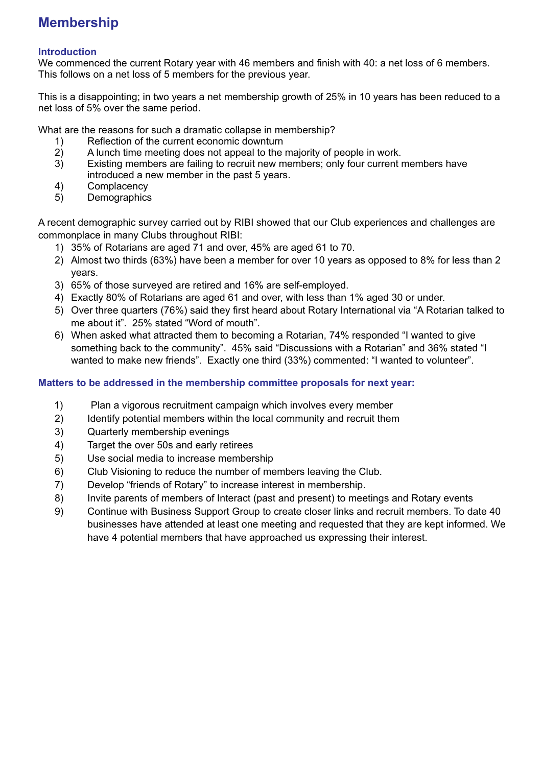## **Membership**

#### **Introduction**

We commenced the current Rotary year with 46 members and finish with 40: a net loss of 6 members. This follows on a net loss of 5 members for the previous year.

This is a disappointing; in two years a net membership growth of 25% in 10 years has been reduced to a net loss of 5% over the same period.

What are the reasons for such a dramatic collapse in membership?

- 1) Reflection of the current economic downturn<br>2) A lunch time meeting does not appeal to the
- 
- 2) A lunch time meeting does not appeal to the majority of people in work.<br>3) Existing members are failing to recruit new members; only four current in Existing members are failing to recruit new members; only four current members have introduced a new member in the past 5 years.
- 4) Complacency<br>5) Demographics
- **Demographics**

A recent demographic survey carried out by RIBI showed that our Club experiences and challenges are commonplace in many Clubs throughout RIBI:

- 1) 35% of Rotarians are aged 71 and over, 45% are aged 61 to 70.
- 2) Almost two thirds (63%) have been a member for over 10 years as opposed to 8% for less than 2 years.
- 3) 65% of those surveyed are retired and 16% are self-employed.
- 4) Exactly 80% of Rotarians are aged 61 and over, with less than 1% aged 30 or under.
- 5) Over three quarters (76%) said they first heard about Rotary International via "A Rotarian talked to me about it". 25% stated "Word of mouth".
- 6) When asked what attracted them to becoming a Rotarian, 74% responded "I wanted to give something back to the community". 45% said "Discussions with a Rotarian" and 36% stated "I wanted to make new friends". Exactly one third (33%) commented: "I wanted to volunteer".

#### **Matters to be addressed in the membership committee proposals for next year:**

- 1) Plan a vigorous recruitment campaign which involves every member
- 2) Identify potential members within the local community and recruit them
- 3) Quarterly membership evenings
- 4) Target the over 50s and early retirees
- 5) Use social media to increase membership
- 6) Club Visioning to reduce the number of members leaving the Club.
- 7) Develop "friends of Rotary" to increase interest in membership.
- 8) Invite parents of members of Interact (past and present) to meetings and Rotary events
- 9) Continue with Business Support Group to create closer links and recruit members. To date 40 businesses have attended at least one meeting and requested that they are kept informed. We have 4 potential members that have approached us expressing their interest.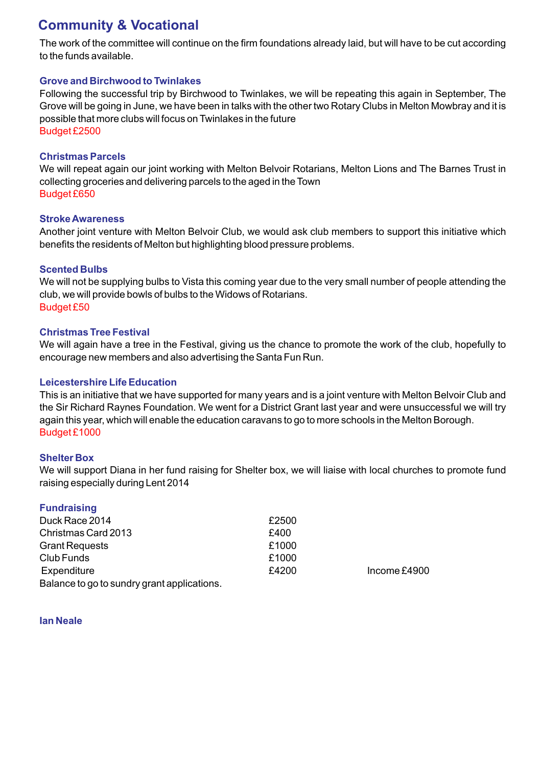## **Community & Vocational**

The work of the committee will continue on the firm foundations already laid, but will have to be cut according to the funds available.

#### **Grove and Birchwood to Twinlakes**

Following the successful trip by Birchwood to Twinlakes, we will be repeating this again in September, The Grove will be going in June, we have been in talks with the other two Rotary Clubs in Melton Mowbray and it is possible that more clubs will focus on Twinlakes in the future Budget £2500

#### **Christmas Parcels**

We will repeat again our joint working with Melton Belvoir Rotarians, Melton Lions and The Barnes Trust in collecting groceries and delivering parcels to the aged in the Town Budget £650

#### **Stroke Awareness**

Another joint venture with Melton Belvoir Club, we would ask club members to support this initiative which benefits the residents of Melton but highlighting blood pressure problems.

#### **Scented Bulbs**

We will not be supplying bulbs to Vista this coming year due to the very small number of people attending the club, we will provide bowls of bulbs to the Widows of Rotarians. Budget £50

#### **Christmas Tree Festival**

We will again have a tree in the Festival, giving us the chance to promote the work of the club, hopefully to encourage new members and also advertising the Santa Fun Run.

#### **Leicestershire Life Education**

This is an initiative that we have supported for many years and is a joint venture with Melton Belvoir Club and the Sir Richard Raynes Foundation. We went for a District Grant last year and were unsuccessful we will try again this year, which will enable the education caravans to go to more schools in the Melton Borough. Budget £1000

#### **Shelter Box**

We will support Diana in her fund raising for Shelter box, we will liaise with local churches to promote fund raising especially during Lent 2014

| <b>Fundraising</b>                          |       |              |
|---------------------------------------------|-------|--------------|
| Duck Race 2014                              | £2500 |              |
| Christmas Card 2013                         | £400  |              |
| <b>Grant Requests</b>                       | £1000 |              |
| Club Funds                                  | £1000 |              |
| Expenditure                                 | £4200 | Income £4900 |
| Balance to go to sundry grant applications. |       |              |

#### **Ian Neale**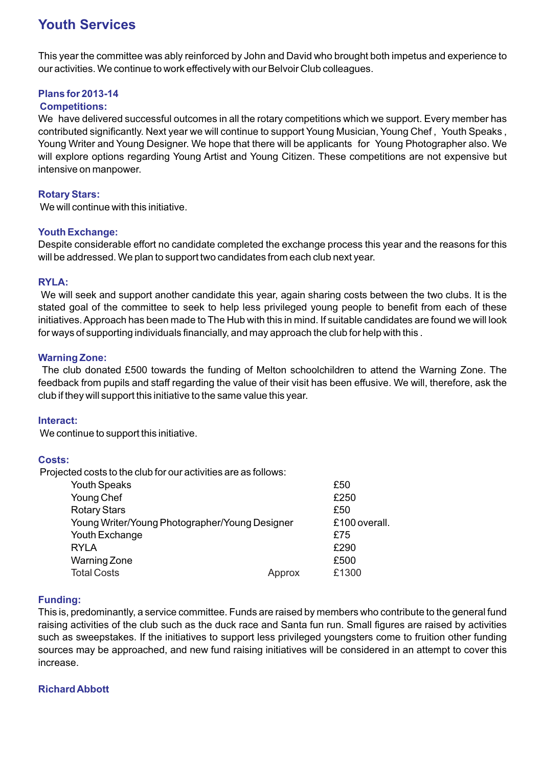## **Youth Services**

This year the committee was ably reinforced by John and David who brought both impetus and experience to our activities. We continue to work effectively with our Belvoir Club colleagues.

#### **Plans for 2013-14**

#### **Competitions:**

We have delivered successful outcomes in all the rotary competitions which we support. Every member has contributed significantly. Next year we will continue to support Young Musician, Young Chef , Youth Speaks , Young Writer and Young Designer. We hope that there will be applicants for Young Photographer also. We will explore options regarding Young Artist and Young Citizen. These competitions are not expensive but intensive on manpower.

#### **Rotary Stars:**

We will continue with this initiative.

#### **Youth Exchange:**

Despite considerable effort no candidate completed the exchange process this year and the reasons for this will be addressed. We plan to support two candidates from each club next year.

#### **RYLA:**

 We will seek and support another candidate this year, again sharing costs between the two clubs. It is the stated goal of the committee to seek to help less privileged young people to benefit from each of these initiatives. Approach has been made to The Hub with this in mind. If suitable candidates are found we will look for ways of supporting individuals financially, and may approach the club for help with this .

#### **Warning Zone:**

The club donated £500 towards the funding of Melton schoolchildren to attend the Warning Zone. The feedback from pupils and staff regarding the value of their visit has been effusive. We will, therefore, ask the club if they will support this initiative to the same value this year.

#### **Interact:**

We continue to support this initiative.

#### **Costs:**

Projected costs to the club for our activities are as follows:

| <b>Youth Speaks</b>                            |        | £50           |
|------------------------------------------------|--------|---------------|
| Young Chef                                     |        | £250          |
| <b>Rotary Stars</b>                            |        | £50           |
| Young Writer/Young Photographer/Young Designer |        | £100 overall. |
| Youth Exchange                                 |        | £75           |
| <b>RYLA</b>                                    |        | £290          |
| <b>Warning Zone</b>                            |        | £500          |
| <b>Total Costs</b>                             | Approx | £1300         |

#### **Funding:**

This is, predominantly, a service committee. Funds are raised by members who contribute to the general fund raising activities of the club such as the duck race and Santa fun run. Small figures are raised by activities such as sweepstakes. If the initiatives to support less privileged youngsters come to fruition other funding sources may be approached, and new fund raising initiatives will be considered in an attempt to cover this increase.

#### **Richard Abbott**